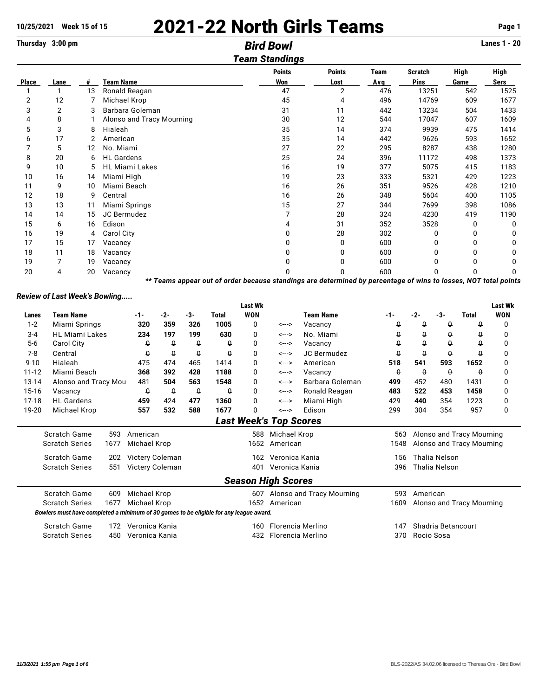# **10/25/2021 Week 15 of 15** 2021-22 North Girls Teams **Page 1**

**Thursday 3:00 pm** *Bird Bowl* **Lanes 1 - 20**

### *Team Standings* **Points Points Team Scratch High High Place Lane # Team Name Won Lost Avg Pins Game Sers** 1 1 13 Ronald Reagan 47 2 476 13251 542 1525 2 12 7 Michael Krop 45 4 496 14769 609 1677 3 2 3 Barbara Goleman 31 11 442 13234 504 1433 4 8 1 Alonso and Tracy Mourning 30 12 544 17047 607 1609 5 3 8 Hialeah 35 14 374 9939 475 1414 6 17 2 American 35 14 442 9626 593 1652 7 5 12 No. Miami 27 22 295 8287 438 1280 8 20 6 HL Gardens 25 24 396 11172 498 1373 9 10 5 HL Miami Lakes 16 19 377 5075 415 1183 10 16 14 Miami High 19 23 333 5321 429 1223 11 9 10 Miami Beach 16 26 351 9526 428 1210 12 18 9 Central 16 26 348 5604 400 1105 13 13 11 Miami Springs 15 27 344 7699 398 1086 14 14 15 JC Bermudez 7 28 324 4230 419 1190 15 6 16 Edison 4 31 352 3528 0 0 16 19 4 Carol City 0 28 302 0 0 0 17 15 17 Vacancy 0 0 600 0 0 0 18 11 18 Vacancy 0 0 600 0 0 0 19 7 19 Vacancy 0 0 600 0 0 0

20 4 20 Vacancy 0 0 600 0 0 0 *\*\* Teams appear out of order because standings are determined by percentage of wins to losses, NOT total points*

## *Review of Last Week's Bowling.....*

|                               |                                                                                        |      |                 |          |          |                          | <b>Last Wk</b> |                           |                           |                             |                    |                      |                           | Last Wk    |  |
|-------------------------------|----------------------------------------------------------------------------------------|------|-----------------|----------|----------|--------------------------|----------------|---------------------------|---------------------------|-----------------------------|--------------------|----------------------|---------------------------|------------|--|
| Lanes                         | <b>Team Name</b>                                                                       |      | $-1-$           | $-2-$    | -3-      | <b>Total</b>             | <b>WON</b>     |                           | <b>Team Name</b>          | $-1-$                       | $-2-$              | -3-                  | <b>Total</b>              | <b>WON</b> |  |
| $1-2$                         | Miami Springs                                                                          |      | 320             | 359      | 326      | 1005                     | 0              | <--->                     | Vacancy                   | 0                           | $\theta$           | $\theta$             | Q                         | $\Omega$   |  |
| $3 - 4$                       | <b>HL Miami Lakes</b>                                                                  |      | 234             | 197      | 199      | 630                      | 0              | <--->                     | No. Miami                 | Q                           | $\theta$           | 0                    | $\theta$                  | 0          |  |
| $5-6$                         | Carol City                                                                             |      | Q               | $\theta$ | Q        | 0                        | 0              | <--->                     | Vacancy                   | Q                           | $\theta$           | Û                    | $\theta$                  | 0          |  |
| $7-8$                         | Central                                                                                |      | Q               | $\theta$ | 0        | Q                        | 0              | <--->                     | JC Bermudez               | $\theta$                    | $\theta$           | 0                    | $\theta$                  | 0          |  |
| $9 - 10$                      | Hialeah                                                                                |      | 475             | 474      | 465      | 1414                     | 0              | <--->                     | American                  | 518                         | 541                | 593                  | 1652                      | 0          |  |
| $11 - 12$                     | Miami Beach                                                                            |      | 368             | 392      | 428      | 1188                     | 0              | <--->                     | Vacancy                   | Q                           | $\theta$           | $\theta$             | Q                         | 0          |  |
| 13-14                         | Alonso and Tracy Mou                                                                   |      | 481             | 504      | 563      | 1548                     | 0              | <--->                     | Barbara Goleman           | 499                         | 452                | 480                  | 1431                      | 0          |  |
| $15-16$                       | Vacancy                                                                                |      | Q               | $\theta$ | $\theta$ | $\theta$                 | 0              | <--->                     | Ronald Reagan             | 483                         | 522                | 453                  | 1458                      | 0          |  |
| $17-18$                       | <b>HL</b> Gardens                                                                      |      | 459             | 424      | 477      | 1360                     | 0              | <--->                     | Miami High                | 429                         | 440                | 354                  | 1223                      | 0          |  |
| 19-20                         | Michael Krop                                                                           |      | 557             | 532      | 588      | 1677                     | 0              | <--->                     | Edison                    | 299                         | 304                | 354                  | 957                       | 0          |  |
| <b>Last Week's Top Scores</b> |                                                                                        |      |                 |          |          |                          |                |                           |                           |                             |                    |                      |                           |            |  |
|                               | Scratch Game                                                                           | 593  | American        |          |          |                          | 588            | Michael Krop              |                           | 563                         |                    |                      | Alonso and Tracy Mourning |            |  |
|                               | <b>Scratch Series</b>                                                                  | 1677 | Michael Krop    |          | 1652     |                          |                | American                  |                           | 1548                        |                    |                      | Alonso and Tracy Mourning |            |  |
|                               | Scratch Game                                                                           | 202  | Victery Coleman |          |          |                          | 162            | Veronica Kania            |                           | <b>Thalia Nelson</b><br>156 |                    |                      |                           |            |  |
|                               | <b>Scratch Series</b>                                                                  | 551  | Victery Coleman |          |          |                          | 401            | Veronica Kania            |                           | 396                         |                    | <b>Thalia Nelson</b> |                           |            |  |
|                               |                                                                                        |      |                 |          |          |                          |                |                           |                           |                             |                    |                      |                           |            |  |
|                               |                                                                                        |      |                 |          |          |                          |                | <b>Season High Scores</b> |                           |                             |                    |                      |                           |            |  |
|                               | Scratch Game                                                                           | 609  | Michael Krop    |          |          |                          | 607            |                           | Alonso and Tracy Mourning | 593                         | American           |                      |                           |            |  |
|                               | <b>Scratch Series</b>                                                                  | 1677 | Michael Krop    |          |          |                          | 1652           | American                  |                           | 1609                        |                    |                      | Alonso and Tracy Mourning |            |  |
|                               | Bowlers must have completed a minimum of 30 games to be eligible for any league award. |      |                 |          |          |                          |                |                           |                           |                             |                    |                      |                           |            |  |
|                               | Scratch Game                                                                           | 172  | Veronica Kania  |          |          |                          | 160            |                           | <b>Florencia Merlino</b>  | 147                         | Shadria Betancourt |                      |                           |            |  |
|                               | <b>Scratch Series</b>                                                                  | 450  | Veronica Kania  |          |          | Florencia Merlino<br>432 |                |                           |                           | 370                         | Rocio Sosa         |                      |                           |            |  |
|                               |                                                                                        |      |                 |          |          |                          |                |                           |                           |                             |                    |                      |                           |            |  |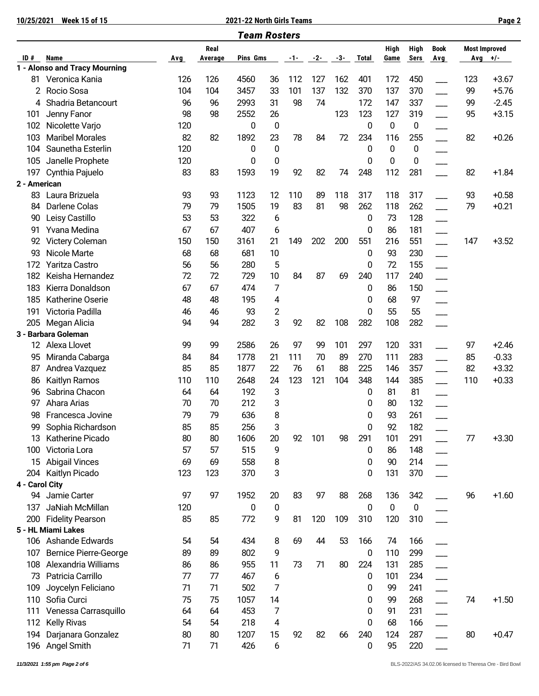**10/25/2021 Week 15 of 15 2021-22 North Girls Teams Page 2**

| <b>Team Rosters</b> |                               |     |                 |          |          |     |       |     |              |                     |              |                          |     |                                   |
|---------------------|-------------------------------|-----|-----------------|----------|----------|-----|-------|-----|--------------|---------------------|--------------|--------------------------|-----|-----------------------------------|
| ID#                 | Name                          | Avg | Real<br>Average | Pins Gms |          | -1- | $-2-$ | -3- | <b>Total</b> | <b>High</b><br>Game | High<br>Sers | <b>Book</b><br>Avg       |     | <b>Most Improved</b><br>Avg $+/-$ |
|                     | 1 - Alonso and Tracy Mourning |     |                 |          |          |     |       |     |              |                     |              |                          |     |                                   |
| 81                  | Veronica Kania                | 126 | 126             | 4560     | 36       | 112 | 127   | 162 | 401          | 172                 | 450          |                          | 123 | $+3.67$                           |
| 2                   | Rocio Sosa                    | 104 | 104             | 3457     | 33       | 101 | 137   | 132 | 370          | 137                 | 370          |                          | 99  | $+5.76$                           |
| 4                   | Shadria Betancourt            | 96  | 96              | 2993     | 31       | 98  | 74    |     | 172          | 147                 | 337          |                          | 99  | $-2.45$                           |
| 101                 | Jenny Fanor                   | 98  | 98              | 2552     | 26       |     |       | 123 | 123          | 127                 | 319          | $\overline{\phantom{a}}$ | 95  | $+3.15$                           |
| 102                 | Nicolette Varjo               | 120 |                 | 0        | 0        |     |       |     | 0            | 0                   | 0            |                          |     |                                   |
| 103                 | <b>Maribel Morales</b>        | 82  | 82              | 1892     | 23       | 78  | 84    | 72  | 234          | 116                 | 255          |                          | 82  | $+0.26$                           |
| 104                 | Saunetha Esterlin             | 120 |                 | 0        | 0        |     |       |     | 0            | $\bf{0}$            | 0            |                          |     |                                   |
| 105                 | Janelle Prophete              | 120 |                 | 0        | 0        |     |       |     | 0            | 0                   | 0            |                          |     |                                   |
| 197                 | Cynthia Pajuelo               | 83  | 83              | 1593     | 19       | 92  | 82    | 74  | 248          | 112                 | 281          |                          | 82  | $+1.84$                           |
| 2 - American        |                               |     |                 |          |          |     |       |     |              |                     |              |                          |     |                                   |
| 83                  | Laura Brizuela                | 93  | 93              | 1123     | 12       | 110 | 89    | 118 | 317          | 118                 | 317          |                          | 93  | $+0.58$                           |
| 84                  | Darlene Colas                 | 79  | 79              | 1505     | 19       | 83  | 81    | 98  | 262          | 118                 | 262          |                          | 79  | $+0.21$                           |
| 90                  | Leisy Castillo                | 53  | 53              | 322      | 6        |     |       |     | 0            | 73                  | 128          |                          |     |                                   |
| 91                  | Yvana Medina                  | 67  | 67              | 407      | 6        |     |       |     | 0            | 86                  | 181          |                          |     |                                   |
| 92                  | Victery Coleman               | 150 | 150             | 3161     | 21       | 149 | 202   | 200 | 551          | 216                 | 551          | $\overline{\phantom{a}}$ | 147 | $+3.52$                           |
| 93                  | Nicole Marte                  | 68  | 68              | 681      | 10       |     |       |     | 0            | 93                  | 230          |                          |     |                                   |
| 172                 | Yaritza Castro                | 56  | 56              | 280      | 5        |     |       |     | 0            | 72                  | 155          |                          |     |                                   |
| 182                 | Keisha Hernandez              | 72  | 72              | 729      | 10       | 84  | 87    | 69  | 240          | 117                 | 240          |                          |     |                                   |
| 183                 | Kierra Donaldson              | 67  | 67              | 474      | 7        |     |       |     | 0            | 86                  | 150          |                          |     |                                   |
| 185                 | Katherine Oserie              | 48  | 48              | 195      | 4        |     |       |     | 0            | 68                  | 97           |                          |     |                                   |
| 191                 | Victoria Padilla              | 46  | 46              | 93       | 2        |     |       |     | 0            | 55                  | 55           |                          |     |                                   |
| 205                 | Megan Alicia                  | 94  | 94              | 282      | 3        | 92  | 82    | 108 | 282          | 108                 | 282          |                          |     |                                   |
|                     | 3 - Barbara Goleman           |     |                 |          |          |     |       |     |              |                     |              |                          |     |                                   |
| 12                  | Alexa Llovet                  | 99  | 99              | 2586     | 26       | 97  | 99    | 101 | 297          | 120                 | 331          |                          | 97  | $+2.46$                           |
| 95                  | Miranda Cabarga               | 84  | 84              | 1778     | 21       | 111 | 70    | 89  | 270          | 111                 | 283          | $\overline{\phantom{a}}$ | 85  | $-0.33$                           |
| 87                  | Andrea Vazquez                | 85  | 85              | 1877     | 22       | 76  | 61    | 88  | 225          | 146                 | 357          |                          | 82  | $+3.32$                           |
| 86                  | Kaitlyn Ramos                 | 110 | 110             | 2648     | 24       | 123 | 121   | 104 | 348          | 144                 | 385          |                          | 110 | $+0.33$                           |
| 96                  | Sabrina Chacon                | 64  | 64              | 192      | 3        |     |       |     | 0            | 81                  | 81           |                          |     |                                   |
| 97                  | Ahara Arias                   | 70  | 70              | 212      | 3        |     |       |     | 0            | 80                  | 132          |                          |     |                                   |
| 98                  | Francesca Jovine              | 79  | 79              | 636      | 8        |     |       |     | 0            | 93                  | 261          |                          |     |                                   |
| 99                  | Sophia Richardson             | 85  | 85              | 256      | 3        |     |       |     | 0            | 92                  | 182          |                          |     |                                   |
| 13                  | Katherine Picado              | 80  | 80              | 1606     | 20       | 92  | 101   | 98  | 291          | 101                 | 291          |                          | 77  | $+3.30$                           |
| 100                 | Victoria Lora                 | 57  | 57              | 515      | 9        |     |       |     | 0            | 86                  | 148          |                          |     |                                   |
|                     | 15 Abigail Vinces             | 69  | 69              | 558      | 8        |     |       |     | 0            | 90                  | 214          |                          |     |                                   |
| 204                 | Kaitlyn Picado                | 123 | 123             | 370      | 3        |     |       |     | 0            | 131                 | 370          |                          |     |                                   |
| 4 - Carol City      |                               |     |                 |          |          |     |       |     |              |                     |              |                          |     |                                   |
|                     | 94 Jamie Carter               | 97  | 97              | 1952     | 20       | 83  | 97    | 88  | 268          | 136                 | 342          |                          | 96  | $+1.60$                           |
| 137                 | JaNiah McMillan               | 120 |                 | 0        | $\bf{0}$ |     |       |     | 0            | $\boldsymbol{0}$    | $\pmb{0}$    |                          |     |                                   |
| 200                 | <b>Fidelity Pearson</b>       | 85  | 85              | 772      | 9        | 81  | 120   | 109 | 310          | 120                 | 310          |                          |     |                                   |
|                     | 5 - HL Miami Lakes            |     |                 |          |          |     |       |     |              |                     |              |                          |     |                                   |
|                     | 106 Ashande Edwards           | 54  | 54              | 434      | 8        | 69  | 44    | 53  | 166          | 74                  | 166          |                          |     |                                   |
| 107                 | <b>Bernice Pierre-George</b>  | 89  | 89              | 802      | 9        |     |       |     | 0            | 110                 | 299          |                          |     |                                   |
| 108                 | Alexandria Williams           | 86  | 86              | 955      | 11       | 73  | 71    | 80  | 224          | 131                 | 285          |                          |     |                                   |
| 73                  | Patricia Carrillo             | 77  | 77              | 467      | 6        |     |       |     | 0            | 101                 | 234          |                          |     |                                   |
| 109                 | Joycelyn Feliciano            | 71  | 71              | 502      | 7        |     |       |     | 0            | 99                  | 241          |                          |     |                                   |
| 110                 | Sofia Curci                   | 75  | 75              | 1057     | 14       |     |       |     | 0            | 99                  | 268          | $\overline{\phantom{0}}$ | 74  | $+1.50$                           |
| 111                 | Venessa Carrasquillo          | 64  | 64              | 453      | 7        |     |       |     | 0            | 91                  | 231          |                          |     |                                   |
| 112                 | <b>Kelly Rivas</b>            | 54  | 54              | 218      | 4        |     |       |     | 0            | 68                  | 166          |                          |     |                                   |
| 194                 | Darjanara Gonzalez            | 80  | 80              | 1207     | 15       | 92  | 82    | 66  | 240          | 124                 | 287          |                          | 80  | $+0.47$                           |
|                     | 196 Angel Smith               | 71  | 71              | 426      | 6        |     |       |     | 0            | 95                  | 220          |                          |     |                                   |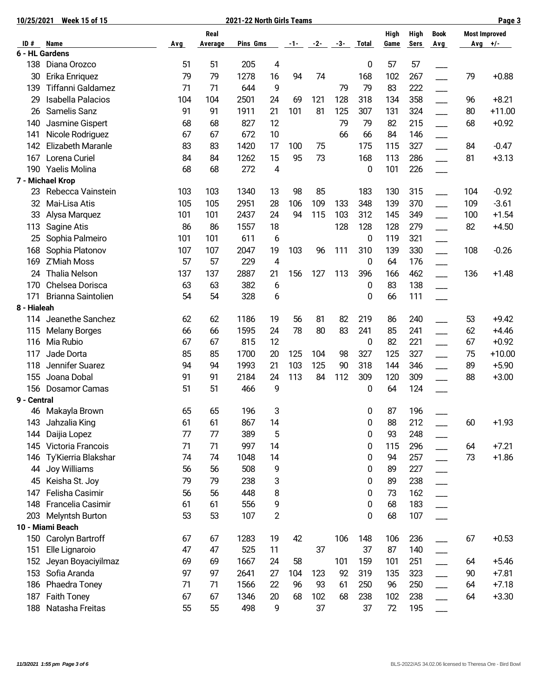| 10/25/2021                | <b>Week 15 of 15</b>                  |                                 | 2021-22 North Girls Teams |              |    |           |            |     |              |      |      | Page 3                   |     |                      |
|---------------------------|---------------------------------------|---------------------------------|---------------------------|--------------|----|-----------|------------|-----|--------------|------|------|--------------------------|-----|----------------------|
|                           |                                       | Real<br>Pins Gms<br>$-2 - -3 -$ |                           |              |    |           |            |     |              |      | High | <b>Book</b>              |     | <b>Most Improved</b> |
| ID#                       | Name<br>6 - HL Gardens                | <b>Avg</b>                      | Average                   |              |    | $-1-$     |            |     | <b>Total</b> | Game | Sers | <b>Avg</b>               |     | Avg $+/-$            |
| 138                       | Diana Orozco                          | 51                              | 51                        | 205          | 4  |           |            |     | 0            | 57   | 57   |                          |     |                      |
| 30                        | Erika Enriquez                        | 79                              | 79                        | 1278         | 16 | 94        | 74         |     | 168          | 102  | 267  |                          | 79  | $+0.88$              |
| 139                       | Tiffanni Galdamez                     | 71                              | 71                        | 644          | 9  |           |            | 79  | 79           | 83   | 222  |                          |     |                      |
| 29                        | Isabella Palacios                     | 104                             | 104                       | 2501         | 24 | 69        | 121        | 128 | 318          | 134  | 358  |                          | 96  | $+8.21$              |
| 26                        | Samelis Sanz                          | 91                              | 91                        | 1911         | 21 | 101       | 81         | 125 | 307          | 131  | 324  |                          | 80  | $+11.00$             |
| 140                       | Jasmine Gispert                       | 68                              | 68                        | 827          | 12 |           |            | 79  | 79           | 82   | 215  |                          | 68  | $+0.92$              |
| 141                       | Nicole Rodriguez                      | 67                              | 67                        | 672          | 10 |           |            | 66  | 66           | 84   | 146  |                          |     |                      |
| 142                       | Elizabeth Maranle                     | 83                              | 83                        | 1420         | 17 | 100       | 75         |     | 175          | 115  | 327  |                          | 84  | $-0.47$              |
| 167                       | Lorena Curiel                         | 84                              | 84                        | 1262         | 15 | 95        | 73         |     | 168          | 113  | 286  |                          | 81  | $+3.13$              |
| 190                       |                                       |                                 | 68                        | 272          |    |           |            |     |              |      |      |                          |     |                      |
|                           | Yaelis Molina                         | 68                              |                           |              | 4  |           |            |     | 0            | 101  | 226  |                          |     |                      |
| 23                        | 7 - Michael Krop<br>Rebecca Vainstein | 103                             | 103                       | 1340         | 13 | 98        | 85         |     | 183          | 130  | 315  |                          | 104 | $-0.92$              |
|                           |                                       |                                 | 105                       |              | 28 |           |            |     | 348          | 139  |      |                          | 109 |                      |
| 32                        | Mai-Lisa Atis                         | 105                             | 101                       | 2951<br>2437 | 24 | 106<br>94 | 109<br>115 | 133 | 312          | 145  | 370  |                          | 100 | $-3.61$              |
| 33                        | Alysa Marquez                         | 101                             |                           |              |    |           |            | 103 |              |      | 349  |                          |     | $+1.54$              |
| 113                       | Sagine Atis                           | 86                              | 86                        | 1557         | 18 |           |            | 128 | 128          | 128  | 279  |                          | 82  | $+4.50$              |
| 25                        | Sophia Palmeiro                       | 101                             | 101                       | 611          | 6  |           |            |     | 0            | 119  | 321  |                          |     |                      |
| 168                       | Sophia Platonov                       | 107                             | 107                       | 2047         | 19 | 103       | 96         | 111 | 310          | 139  | 330  | $\overline{\phantom{a}}$ | 108 | $-0.26$              |
| 169                       | Z'Miah Moss                           | 57                              | 57                        | 229          | 4  |           |            |     | 0            | 64   | 176  |                          |     |                      |
| 24                        | <b>Thalia Nelson</b>                  | 137                             | 137                       | 2887         | 21 | 156       | 127        | 113 | 396          | 166  | 462  |                          | 136 | $+1.48$              |
| 170                       | Chelsea Dorisca                       | 63                              | 63                        | 382          | 6  |           |            |     | 0            | 83   | 138  |                          |     |                      |
| 171                       | Brianna Saintolien                    | 54                              | 54                        | 328          | 6  |           |            |     | 0            | 66   | 111  |                          |     |                      |
| 8 - Hialeah               |                                       |                                 |                           |              |    |           |            |     |              |      |      |                          |     |                      |
| 114                       | Jeanethe Sanchez                      | 62                              | 62                        | 1186         | 19 | 56        | 81         | 82  | 219          | 86   | 240  |                          | 53  | $+9.42$              |
| 115                       | <b>Melany Borges</b>                  | 66                              | 66                        | 1595         | 24 | 78        | 80         | 83  | 241          | 85   | 241  |                          | 62  | $+4.46$              |
| 116                       | Mia Rubio                             | 67                              | 67                        | 815          | 12 |           |            |     | 0            | 82   | 221  |                          | 67  | $+0.92$              |
| 117                       | Jade Dorta                            | 85                              | 85                        | 1700         | 20 | 125       | 104        | 98  | 327          | 125  | 327  |                          | 75  | $+10.00$             |
| 118                       | Jennifer Suarez                       | 94                              | 94                        | 1993         | 21 | 103       | 125        | 90  | 318          | 144  | 346  |                          | 89  | $+5.90$              |
| 155                       | Joana Dobal                           | 91                              | 91                        | 2184         | 24 | 113       | 84         | 112 | 309          | 120  | 309  |                          | 88  | $+3.00$              |
| 156                       | Dosamor Camas                         | 51                              | 51                        | 466          | 9  |           |            |     | 0            | 64   | 124  |                          |     |                      |
| 9 - Central<br>$\epsilon$ |                                       |                                 |                           |              |    |           |            |     |              |      |      |                          |     |                      |
| 46                        | Makayla Brown                         | 65                              | 65                        | 196          | 3  |           |            |     | 0            | 87   | 196  |                          |     |                      |
| 143                       | Jahzalia King                         | 61                              | 61                        | 867          | 14 |           |            |     | 0            | 88   | 212  |                          | 60  | $+1.93$              |
| 144                       | Daijia Lopez                          | 77                              | 77                        | 389          | 5  |           |            |     | 0            | 93   | 248  |                          |     |                      |
| 145                       | Victoria Francois                     | 71                              | 71                        | 997          | 14 |           |            |     | 0            | 115  | 296  |                          | 64  | $+7.21$              |
| 146                       | Ty'Kierria Blakshar                   | 74                              | 74                        | 1048         | 14 |           |            |     | 0            | 94   | 257  |                          | 73  | $+1.86$              |
| 44                        | Joy Williams                          | 56                              | 56                        | 508          | 9  |           |            |     | 0            | 89   | 227  |                          |     |                      |
| 45                        | Keisha St. Joy                        | 79                              | 79                        | 238          | 3  |           |            |     | 0            | 89   | 238  |                          |     |                      |
| 147                       | Felisha Casimir                       | 56                              | 56                        | 448          | 8  |           |            |     | 0            | 73   | 162  |                          |     |                      |
| 148                       | Francelia Casimir                     | 61                              | 61                        | 556          | 9  |           |            |     | 0            | 68   | 183  |                          |     |                      |
| 203                       | Melyntsh Burton                       | 53                              | 53                        | 107          | 2  |           |            |     | 0            | 68   | 107  |                          |     |                      |
|                           | 10 - Miami Beach                      |                                 |                           |              |    |           |            |     |              |      |      |                          |     |                      |
| 150                       | Carolyn Bartroff                      | 67                              | 67                        | 1283         | 19 | 42        |            | 106 | 148          | 106  | 236  |                          | 67  | $+0.53$              |
| 151                       | Elle Lignaroio                        | 47                              | 47                        | 525          | 11 |           | 37         |     | 37           | 87   | 140  |                          |     |                      |
| 152                       | Jeyan Boyaciyilmaz                    | 69                              | 69                        | 1667         | 24 | 58        |            | 101 | 159          | 101  | 251  |                          | 64  | $+5.46$              |
| 153                       | Sofia Aranda                          | 97                              | 97                        | 2641         | 27 | 104       | 123        | 92  | 319          | 135  | 323  |                          | 90  | $+7.81$              |
| 186                       | Phaedra Toney                         | 71                              | 71                        | 1566         | 22 | 96        | 93         | 61  | 250          | 96   | 250  |                          | 64  | $+7.18$              |
| 187                       | Faith Toney                           | 67                              | 67                        | 1346         | 20 | 68        | 102        | 68  | 238          | 102  | 238  |                          | 64  | $+3.30$              |
| 188                       | Natasha Freitas                       | 55                              | 55                        | 498          | 9  |           | 37         |     | 37           | 72   | 195  |                          |     |                      |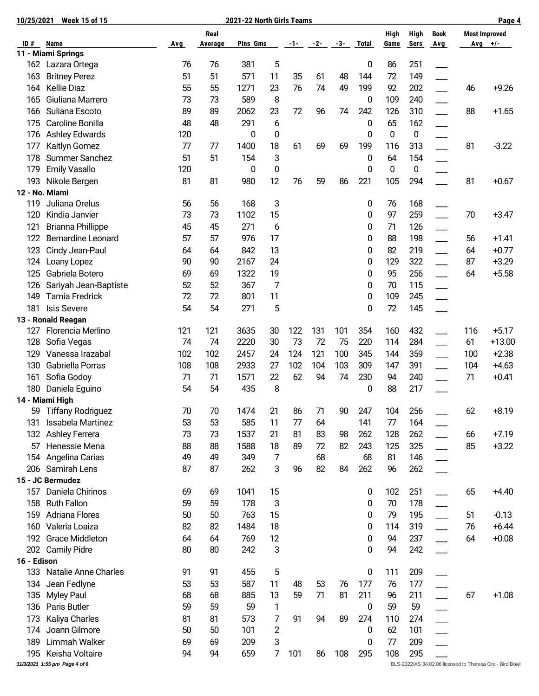|             | 10/25/2021<br><b>Week 15 of 15</b>      |          | 2021-22 North Girls Teams |             |                |          |          |     |              |              |              |                          |     | Page 4                                                   |
|-------------|-----------------------------------------|----------|---------------------------|-------------|----------------|----------|----------|-----|--------------|--------------|--------------|--------------------------|-----|----------------------------------------------------------|
| ID#         | Name                                    | Avg      | Real<br>Average           | Pins Gms    |                | -1-      | $-2-$    | -3- | <b>Total</b> | High<br>Game | High<br>Sers | <b>Book</b><br>Avg       |     | <b>Most Improved</b><br>Avg $+/-$                        |
|             | 11 - Miami Springs                      |          |                           |             |                |          |          |     |              |              |              |                          |     |                                                          |
| 162         | Lazara Ortega                           | 76       | 76                        | 381         | 5              |          |          |     | 0            | 86           | 251          |                          |     |                                                          |
| 163         | <b>Britney Perez</b>                    | 51       | 51                        | 571         | 11             | 35       | 61       | 48  | 144          | 72           | 149          |                          |     |                                                          |
| 164         | <b>Kellie Diaz</b>                      | 55       | 55                        | 1271        | 23             | 76       | 74       | 49  | 199          | 92           | 202          | $\overline{\phantom{a}}$ | 46  | $+9.26$                                                  |
| 165         | Giuliana Marrero                        | 73       | 73                        | 589         | 8              |          |          |     | 0            | 109          | 240          |                          |     |                                                          |
| 166         | Suliana Escoto                          | 89       | 89                        | 2062        | 23             | 72       | 96       | 74  | 242          | 126          | 310          |                          | 88  | $+1.65$                                                  |
| 175         | Caroline Bonilla                        | 48       | 48                        | 291         | 6              |          |          |     | 0            | 65           | 162          |                          |     |                                                          |
| 176         | Ashley Edwards                          | 120      |                           | 0           | 0              |          |          |     | 0            | $\mathbf 0$  | 0            |                          |     |                                                          |
| 177         | Kaitlyn Gomez                           | 77       | 77                        | 1400        | 18             | 61       | 69       | 69  | 199          | 116          | 313          |                          | 81  | $-3.22$                                                  |
| 178         | Summer Sanchez                          | 51       | 51                        | 154         | 3              |          |          |     | 0            | 64           | 154          |                          |     |                                                          |
| 179         | Emily Vasallo                           | 120      |                           | 0           | 0              |          |          |     | 0            | $\pmb{0}$    | 0            |                          |     |                                                          |
| 193         | Nikole Bergen                           | 81       | 81                        | 980         | 12             | 76       | 59       | 86  | 221          | 105          | 294          |                          | 81  | $+0.67$                                                  |
|             | 12 - No. Miami                          |          |                           |             |                |          |          |     |              |              |              |                          |     |                                                          |
| 119         | Juliana Orelus                          | 56       | 56                        | 168         | 3              |          |          |     | 0            | 76           | 168          |                          |     |                                                          |
| 120         | Kindia Janvier                          | 73       | 73                        | 1102        | 15             |          |          |     | 0            | 97           | 259          |                          | 70  | $+3.47$                                                  |
| 121         | <b>Brianna Phillippe</b>                | 45       | 45                        | 271         | 6              |          |          |     | 0            | 71           | 126          |                          |     |                                                          |
| 122         | <b>Bernardine Leonard</b>               | 57       | 57                        | 976         | 17             |          |          |     | 0            | 88           | 198          |                          | 56  | $+1.41$                                                  |
| 123         | Cindy Jean-Paul                         | 64       | 64                        | 842         | 13             |          |          |     | 0            | 82           | 219          |                          | 64  | $+0.77$                                                  |
| 124         | Loany Lopez                             | 90       | 90                        | 2167        | 24             |          |          |     | 0            | 129          | 322          |                          | 87  | $+3.29$                                                  |
| 125         | Gabriela Botero                         | 69       | 69                        | 1322        | 19             |          |          |     | 0            | 95           | 256          |                          | 64  | $+5.58$                                                  |
| 126         | Sariyah Jean-Baptiste                   | 52       | 52                        | 367         | 7              |          |          |     | 0            | 70           | 115          | $\overline{\phantom{0}}$ |     |                                                          |
| 149         | Tamia Fredrick                          | 72       | 72                        | 801         | 11             |          |          |     | 0            | 109          | 245          |                          |     |                                                          |
| 181         | <b>Isis Severe</b>                      | 54       | 54                        | 271         | 5              |          |          |     | 0            | 72           | 145          |                          |     |                                                          |
|             | 13 - Ronald Reagan                      |          |                           |             |                |          |          |     |              |              |              |                          |     |                                                          |
| 127         | Florencia Merlino                       | 121      | 121                       | 3635        | 30             | 122      | 131      | 101 | 354          | 160          | 432          |                          | 116 | $+5.17$                                                  |
| 128         | Sofia Vegas                             | 74       | 74                        | 2220        | 30             | 73       | 72       | 75  | 220          | 114          | 284          |                          | 61  | $+13.00$                                                 |
| 129         | Vanessa Irazabal                        | 102      | 102                       | 2457        | 24             | 124      | 121      | 100 | 345          | 144          | 359          | $\overline{\phantom{a}}$ | 100 | $+2.38$                                                  |
| 130         | Gabriella Porras                        | 108      | 108                       | 2933        | 27             | 102      | 104      | 103 | 309          | 147          | 391          |                          | 104 | $+4.63$                                                  |
| 161         | Sofia Godoy                             | 71       | 71                        | 1571        | 22             | 62       | 94       | 74  | 230          | 94           | 240          |                          | 71  | $+0.41$                                                  |
| 180         | Daniela Eguino                          | 54       | 54                        | 435         | 8              |          |          |     | 0            | 88           | 217          |                          |     |                                                          |
|             | 14 - Miami High<br>59 Tiffany Rodriguez |          |                           |             |                |          |          |     |              |              |              |                          |     |                                                          |
| 131         | Issabela Martinez                       | 70<br>53 | 70<br>53                  | 1474<br>585 | 21<br>11       | 86<br>77 | 71<br>64 | 90  | 247<br>141   | 104<br>77    | 256<br>164   |                          | 62  | $+8.19$                                                  |
|             |                                         | 73       | 73                        | 1537        | 21             | 81       |          |     | 262          | 128          |              |                          | 66  | $+7.19$                                                  |
| 132         | Ashley Ferrera                          |          | 88                        |             |                | 89       | 83       | 98  |              |              | 262          |                          | 85  |                                                          |
| 57<br>154   | Henessie Mena<br>Angelina Carias        | 88<br>49 | 49                        | 1588<br>349 | 18<br>7        |          | 72<br>68 | 82  | 243<br>68    | 125<br>81    | 325<br>146   |                          |     | $+3.22$                                                  |
| 206         | Samirah Lens                            | 87       | 87                        | 262         | 3              | 96       | 82       | 84  | 262          | 96           | 262          |                          |     |                                                          |
|             | 15 - JC Bermudez                        |          |                           |             |                |          |          |     |              |              |              |                          |     |                                                          |
| 157         | Daniela Chirinos                        | 69       | 69                        | 1041        | 15             |          |          |     | 0            | 102          | 251          |                          | 65  | $+4.40$                                                  |
| 158         | <b>Ruth Fallon</b>                      | 59       | 59                        | 178         | 3              |          |          |     | 0            | 70           | 178          |                          |     |                                                          |
| 159         | Adriana Flores                          | 50       | 50                        | 763         | 15             |          |          |     | 0            | 79           | 195          |                          | 51  | $-0.13$                                                  |
| 160         | Valeria Loaiza                          | 82       | 82                        | 1484        | 18             |          |          |     | 0            | 114          | 319          |                          | 76  | $+6.44$                                                  |
| 192         | <b>Grace Middleton</b>                  | 64       | 64                        | 769         | 12             |          |          |     | 0            | 94           | 237          |                          | 64  | $+0.08$                                                  |
| 202         | <b>Camily Pidre</b>                     | 80       | 80                        | 242         | 3              |          |          |     | 0            | 94           | 242          |                          |     |                                                          |
| 16 - Edison |                                         |          |                           |             |                |          |          |     |              |              |              |                          |     |                                                          |
| 133         | <b>Natalie Anne Charles</b>             | 91       | 91                        | 455         | 5              |          |          |     | 0            | 111          | 209          |                          |     |                                                          |
| 134         | Jean Fedlyne                            | 53       | 53                        | 587         | 11             | 48       | 53       | 76  | 177          | 76           | 177          |                          |     |                                                          |
| 135         | <b>Myley Paul</b>                       | 68       | 68                        | 885         | 13             | 59       | 71       | 81  | 211          | 96           | 211          |                          | 67  | $+1.08$                                                  |
| 136         | Paris Butler                            | 59       | 59                        | 59          | $\mathbf{1}$   |          |          |     | 0            | 59           | 59           |                          |     |                                                          |
| 173         | Kaliya Charles                          | 81       | 81                        | 573         | 7              | 91       | 94       | 89  | 274          | 110          | 274          |                          |     |                                                          |
| 174         | Joann Gilmore                           | 50       | 50                        | 101         | $\overline{c}$ |          |          |     | 0            | 62           | 101          |                          |     |                                                          |
| 189         | Limmah Walker                           | 69       | 69                        | 209         | 3              |          |          |     | 0            | 77           | 209          |                          |     |                                                          |
| 195         | Keisha Voltaire                         | 94       | 94                        | 659         | 7              | 101      | 86       | 108 | 295          | 108          | 295          |                          |     |                                                          |
|             | 11/3/2021 1:55 pm Page 4 of 6           |          |                           |             |                |          |          |     |              |              |              |                          |     | BLS-2022/AS 34.02.06 licensed to Theresa Ore - Bird Bowl |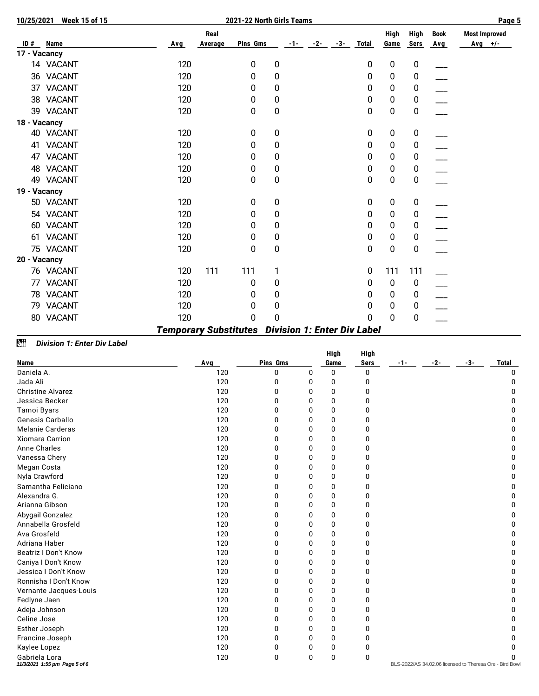| 10/25/2021   | <b>Week 15 of 15</b> |            |         | 2021-22 North Girls Teams |                  |            |       |       |                  |             |             | Page 5               |
|--------------|----------------------|------------|---------|---------------------------|------------------|------------|-------|-------|------------------|-------------|-------------|----------------------|
|              |                      |            | Real    |                           |                  |            |       |       | High             | High        | <b>Book</b> | <b>Most Improved</b> |
| ID#          | <b>Name</b>          | <b>Avg</b> | Average | Pins Gms                  |                  | $-1 - 2 -$ | $-3-$ | Total | Game             | <b>Sers</b> | <b>Avg</b>  | $Avg$ +/-            |
| 17 - Vacancy |                      |            |         |                           |                  |            |       |       |                  |             |             |                      |
|              | 14 VACANT            | 120        |         | 0                         | $\boldsymbol{0}$ |            |       | 0     | $\pmb{0}$        | 0           |             |                      |
|              | 36 VACANT            | 120        |         | 0                         | 0                |            |       | 0     | 0                | 0           |             |                      |
|              | 37 VACANT            | 120        |         | 0                         | 0                |            |       | 0     | 0                | 0           |             |                      |
|              | 38 VACANT            | 120        |         | 0                         | 0                |            |       | 0     | 0                | 0           |             |                      |
|              | 39 VACANT            | 120        |         | 0                         | $\mathbf 0$      |            |       | 0     | 0                | 0           |             |                      |
| 18 - Vacancy |                      |            |         |                           |                  |            |       |       |                  |             |             |                      |
|              | 40 VACANT            | 120        |         | 0                         | 0                |            |       | 0     | 0                | 0           |             |                      |
|              | 41 VACANT            | 120        |         | 0                         | 0                |            |       | 0     | 0                | 0           |             |                      |
| 47           | <b>VACANT</b>        | 120        |         | 0                         | 0                |            |       | 0     | 0                | 0           |             |                      |
|              | 48 VACANT            | 120        |         | 0                         | 0                |            |       | 0     | 0                | 0           |             |                      |
|              | 49 VACANT            | 120        |         | 0                         | 0                |            |       | 0     | 0                | 0           |             |                      |
| 19 - Vacancy |                      |            |         |                           |                  |            |       |       |                  |             |             |                      |
|              | 50 VACANT            | 120        |         | 0                         | 0                |            |       | 0     | $\boldsymbol{0}$ | 0           |             |                      |
|              | 54 VACANT            | 120        |         | 0                         | 0                |            |       | 0     | 0                | 0           |             |                      |
|              | 60 VACANT            | 120        |         | 0                         | 0                |            |       | 0     | 0                | 0           |             |                      |
|              | 61 VACANT            | 120        |         | 0                         | 0                |            |       | 0     | 0                | 0           |             |                      |
|              | 75 VACANT            | 120        |         | 0                         | $\boldsymbol{0}$ |            |       | 0     | 0                | 0           |             |                      |
| 20 - Vacancy |                      |            |         |                           |                  |            |       |       |                  |             |             |                      |
|              | 76 VACANT            | 120        | 111     | 111                       | 1                |            |       | 0     | 111              | 111         |             |                      |
|              | 77 VACANT            | 120        |         | 0                         | 0                |            |       | 0     | $\boldsymbol{0}$ | 0           |             |                      |
|              | 78 VACANT            | 120        |         | 0                         | 0                |            |       | 0     | 0                | 0           |             |                      |
| 79           | <b>VACANT</b>        | 120        |         | 0                         | 0                |            |       | 0     | 0                | 0           |             |                      |
|              | 80 VACANT            | 120        |         | 0                         | 0                |            |       | 0     | 0                | 0           |             |                      |
|              |                      |            |         |                           |                  |            |       |       |                  |             |             |                      |

# *Temporary Substitutes Division 1: Enter Div Label*

# **ZH** Division 1: Enter Div Label

|                                                |     |              |              | <b>High</b>  | <b>High</b>  |     |     |     |                                                         |
|------------------------------------------------|-----|--------------|--------------|--------------|--------------|-----|-----|-----|---------------------------------------------------------|
| Name                                           | Avg | Pins Gms     |              | Game         | Sers         | -1- | -2- | -3- | <b>Total</b>                                            |
| Daniela A.                                     | 120 | 0            | $\Omega$     | 0            | 0            |     |     |     | $\Omega$                                                |
| Jada Ali                                       | 120 | 0            | $\Omega$     | 0            | 0            |     |     |     | 0                                                       |
| <b>Christine Alvarez</b>                       | 120 | <sup>0</sup> | O            | 0            | O            |     |     |     |                                                         |
| Jessica Becker                                 | 120 | <sup>0</sup> | <sup>0</sup> | 0            | O            |     |     |     |                                                         |
| Tamoi Byars                                    | 120 | O            | U            | <sup>0</sup> | O            |     |     |     |                                                         |
| Genesis Carballo                               | 120 | 0            | 0            | 0            | 0            |     |     |     |                                                         |
| <b>Melanie Carderas</b>                        | 120 | 0            | 0            | $\mathbf{0}$ | 0            |     |     |     |                                                         |
| <b>Xiomara Carrion</b>                         | 120 | 0            | 0            | 0            | O            |     |     |     |                                                         |
| <b>Anne Charles</b>                            | 120 | <sup>0</sup> | 0            | $\mathbf{0}$ | 0            |     |     |     |                                                         |
| Vanessa Chery                                  | 120 | O            | <sup>0</sup> | <sup>0</sup> | O            |     |     |     |                                                         |
| Megan Costa                                    | 120 | 0            | 0            | 0            | 0            |     |     |     |                                                         |
| Nyla Crawford                                  | 120 | 0            | 0            | 0            | O            |     |     |     |                                                         |
| Samantha Feliciano                             | 120 | 0            | 0            | 0            | 0            |     |     |     |                                                         |
| Alexandra G.                                   | 120 | 0            | 0            | $\mathbf{0}$ | O            |     |     |     | n                                                       |
| Arianna Gibson                                 | 120 | O            | <sup>0</sup> | $\mathbf{0}$ | O            |     |     |     |                                                         |
| Abygail Gonzalez                               | 120 | 0            | 0            | 0            | O            |     |     |     |                                                         |
| Annabella Grosfeld                             | 120 | <sup>0</sup> | <sup>0</sup> | $\mathbf{0}$ | O            |     |     |     | n                                                       |
| Ava Grosfeld                                   | 120 | 0            | 0            | 0            | 0            |     |     |     | <sup>0</sup>                                            |
| Adriana Haber                                  | 120 | 0            | 0            | $\mathbf{0}$ | $\mathbf{0}$ |     |     |     |                                                         |
| <b>Beatriz I Don't Know</b>                    | 120 | 0            | U            | $\mathbf{0}$ | O            |     |     |     |                                                         |
| Caniya I Don't Know                            | 120 | O            | <sup>0</sup> | 0            | O            |     |     |     |                                                         |
| Jessica I Don't Know                           | 120 | 0            | <sup>0</sup> | 0            | O            |     |     |     | n                                                       |
| Ronnisha I Don't Know                          | 120 | 0            | 0            | $\mathbf{0}$ | 0            |     |     |     |                                                         |
| Vernante Jacques-Louis                         | 120 | 0            | 0            | 0            | O            |     |     |     |                                                         |
| Fedlyne Jaen                                   | 120 | O            | <sup>0</sup> | <sup>0</sup> | O            |     |     |     |                                                         |
| Adeja Johnson                                  | 120 | O            | <sup>0</sup> | 0            | O            |     |     |     |                                                         |
| Celine Jose                                    | 120 | 0            | 0            | $\mathbf{0}$ | 0            |     |     |     |                                                         |
| Esther Joseph                                  | 120 | $\mathbf{0}$ | 0            | $\mathbf{0}$ | 0            |     |     |     |                                                         |
| Francine Joseph                                | 120 | 0            | 0            | 0            | 0            |     |     |     |                                                         |
| Kaylee Lopez                                   | 120 | 0            | 0            | 0            | O            |     |     |     |                                                         |
| Gabriela Lora<br>11/3/2021 1:55 pm Page 5 of 6 | 120 | 0            | $\Omega$     | 0            | 0            |     |     |     | BLS-2022/AS 34.02.06 licensed to Theresa Ore - Bird Bow |